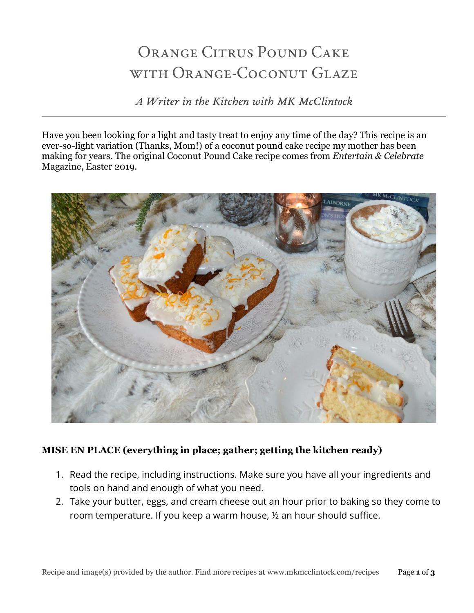# ORANGE CITRUS POUND CAKE with Orange-Coconut Glaze

*A Writer in the Kitchen with MK McClintock*

Have you been looking for a light and tasty treat to enjoy any time of the day? This recipe is an ever-so-light variation (Thanks, Mom!) of a coconut pound cake recipe my mother has been making for years. The original Coconut Pound Cake recipe comes from *Entertain & Celebrate* Magazine, Easter 2019.



# **MISE EN PLACE (everything in place; gather; getting the kitchen ready)**

- 1. Read the recipe, including instructions. Make sure you have all your ingredients and tools on hand and enough of what you need.
- 2. Take your butter, eggs, and cream cheese out an hour prior to baking so they come to room temperature. If you keep a warm house, ½ an hour should suffice.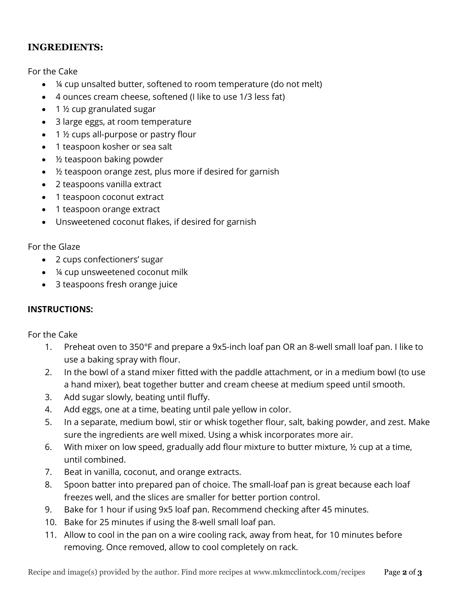## **INGREDIENTS:**

For the Cake

- ¼ cup unsalted butter, softened to room temperature (do not melt)
- 4 ounces cream cheese, softened (I like to use 1/3 less fat)
- 1 ½ cup granulated sugar
- 3 large eggs, at room temperature
- $\bullet$  1  $\frac{1}{2}$  cups all-purpose or pastry flour
- 1 teaspoon kosher or sea salt
- ½ teaspoon baking powder
- ½ teaspoon orange zest, plus more if desired for garnish
- 2 teaspoons vanilla extract
- 1 teaspoon coconut extract
- 1 teaspoon orange extract
- Unsweetened coconut flakes, if desired for garnish

#### For the Glaze

- 2 cups confectioners' sugar
- ¼ cup unsweetened coconut milk
- 3 teaspoons fresh orange juice

### **INSTRUCTIONS:**

For the Cake

- 1. Preheat oven to 350°F and prepare a 9x5-inch loaf pan OR an 8-well small loaf pan. I like to use a baking spray with flour.
- 2. In the bowl of a stand mixer fitted with the paddle attachment, or in a medium bowl (to use a hand mixer), beat together butter and cream cheese at medium speed until smooth.
- 3. Add sugar slowly, beating until fluffy.
- 4. Add eggs, one at a time, beating until pale yellow in color.
- 5. In a separate, medium bowl, stir or whisk together flour, salt, baking powder, and zest. Make sure the ingredients are well mixed. Using a whisk incorporates more air.
- 6. With mixer on low speed, gradually add flour mixture to butter mixture, ½ cup at a time, until combined.
- 7. Beat in vanilla, coconut, and orange extracts.
- 8. Spoon batter into prepared pan of choice. The small-loaf pan is great because each loaf freezes well, and the slices are smaller for better portion control.
- 9. Bake for 1 hour if using 9x5 loaf pan. Recommend checking after 45 minutes.
- 10. Bake for 25 minutes if using the 8-well small loaf pan.
- 11. Allow to cool in the pan on a wire cooling rack, away from heat, for 10 minutes before removing. Once removed, allow to cool completely on rack.